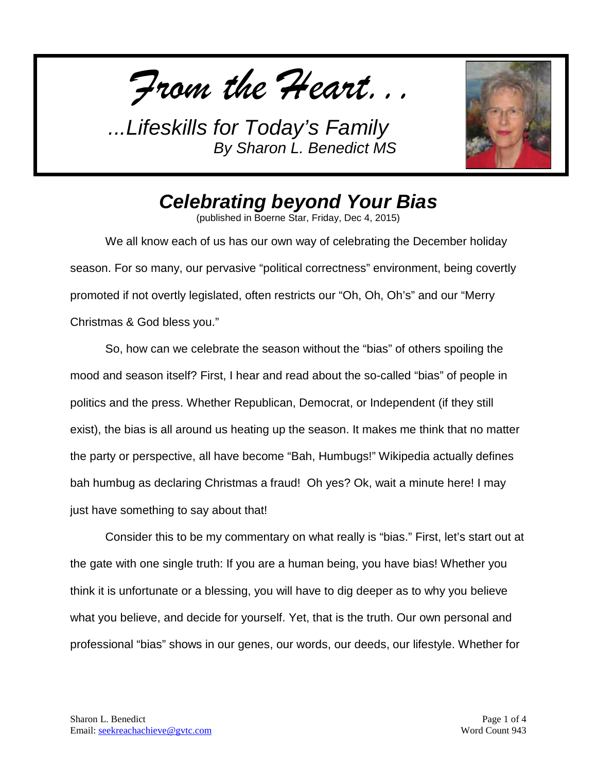*From the Heart...*



## *Celebrating beyond Your Bias*

(published in Boerne Star, Friday, Dec 4, 2015)

We all know each of us has our own way of celebrating the December holiday season. For so many, our pervasive "political correctness" environment, being covertly promoted if not overtly legislated, often restricts our "Oh, Oh, Oh's" and our "Merry Christmas & God bless you."

So, how can we celebrate the season without the "bias" of others spoiling the mood and season itself? First, I hear and read about the so-called "bias" of people in politics and the press. Whether Republican, Democrat, or Independent (if they still exist), the bias is all around us heating up the season. It makes me think that no matter the party or perspective, all have become "Bah, Humbugs!" Wikipedia actually defines bah humbug as declaring Christmas a fraud! Oh yes? Ok, wait a minute here! I may just have something to say about that!

Consider this to be my commentary on what really is "bias." First, let's start out at the gate with one single truth: If you are a human being, you have bias! Whether you think it is unfortunate or a blessing, you will have to dig deeper as to why you believe what you believe, and decide for yourself. Yet, that is the truth. Our own personal and professional "bias" shows in our genes, our words, our deeds, our lifestyle. Whether for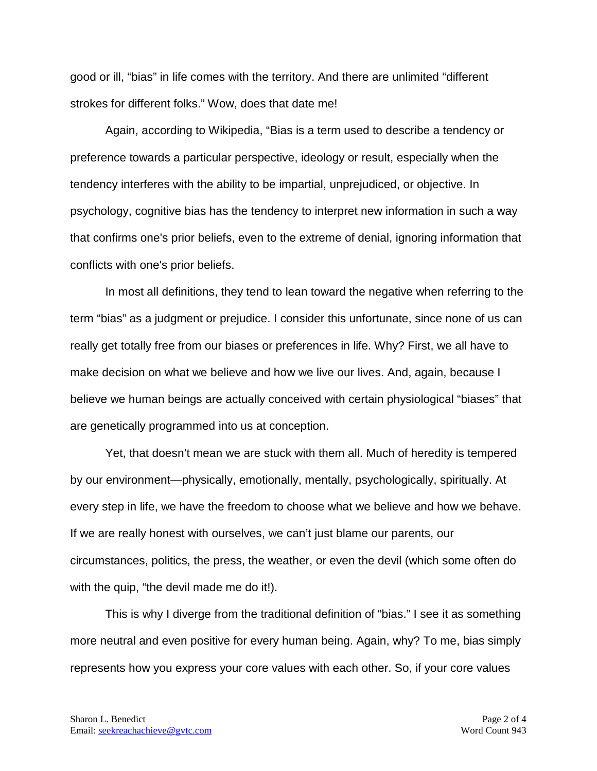good or ill, "bias" in life comes with the territory. And there are unlimited "different strokes for different folks." Wow, does that date me!

Again, according to Wikipedia, "Bias is a term used to describe a tendency or preference towards a particular perspective, ideology or result, especially when the tendency interferes with the ability to be impartial, unprejudiced, or objective. In psychology, cognitive bias has the tendency to interpret new information in such a way that confirms one's prior beliefs, even to the extreme of denial, ignoring information that conflicts with one's prior beliefs.

In most all definitions, they tend to lean toward the negative when referring to the term "bias" as a judgment or prejudice. I consider this unfortunate, since none of us can really get totally free from our biases or preferences in life. Why? First, we all have to make decision on what we believe and how we live our lives. And, again, because I believe we human beings are actually conceived with certain physiological "biases" that are genetically programmed into us at conception.

Yet, that doesn't mean we are stuck with them all. Much of heredity is tempered by our environment—physically, emotionally, mentally, psychologically, spiritually. At every step in life, we have the freedom to choose what we believe and how we behave. If we are really honest with ourselves, we can't just blame our parents, our circumstances, politics, the press, the weather, or even the devil (which some often do with the quip, "the devil made me do it!).

This is why I diverge from the traditional definition of "bias." I see it as something more neutral and even positive for every human being. Again, why? To me, bias simply represents how you express your core values with each other. So, if your core values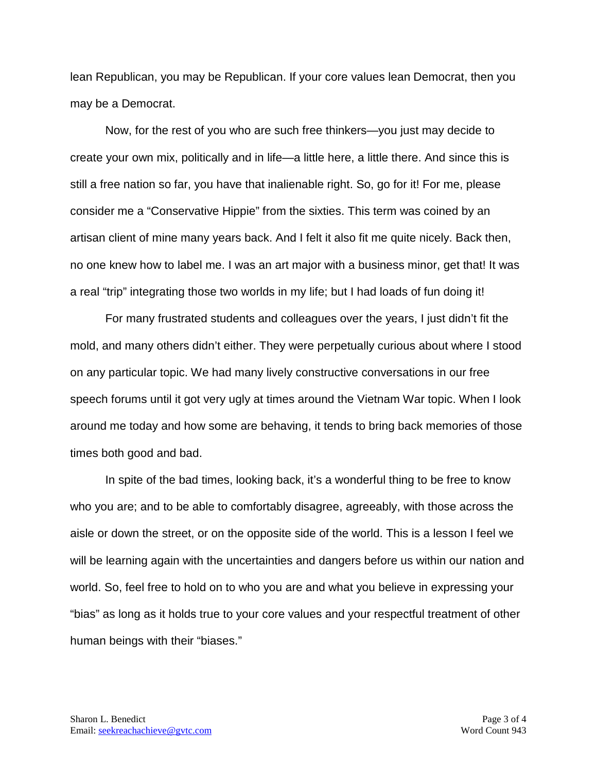lean Republican, you may be Republican. If your core values lean Democrat, then you may be a Democrat.

Now, for the rest of you who are such free thinkers—you just may decide to create your own mix, politically and in life—a little here, a little there. And since this is still a free nation so far, you have that inalienable right. So, go for it! For me, please consider me a "Conservative Hippie" from the sixties. This term was coined by an artisan client of mine many years back. And I felt it also fit me quite nicely. Back then, no one knew how to label me. I was an art major with a business minor, get that! It was a real "trip" integrating those two worlds in my life; but I had loads of fun doing it!

For many frustrated students and colleagues over the years, I just didn't fit the mold, and many others didn't either. They were perpetually curious about where I stood on any particular topic. We had many lively constructive conversations in our free speech forums until it got very ugly at times around the Vietnam War topic. When I look around me today and how some are behaving, it tends to bring back memories of those times both good and bad.

In spite of the bad times, looking back, it's a wonderful thing to be free to know who you are; and to be able to comfortably disagree, agreeably, with those across the aisle or down the street, or on the opposite side of the world. This is a lesson I feel we will be learning again with the uncertainties and dangers before us within our nation and world. So, feel free to hold on to who you are and what you believe in expressing your "bias" as long as it holds true to your core values and your respectful treatment of other human beings with their "biases."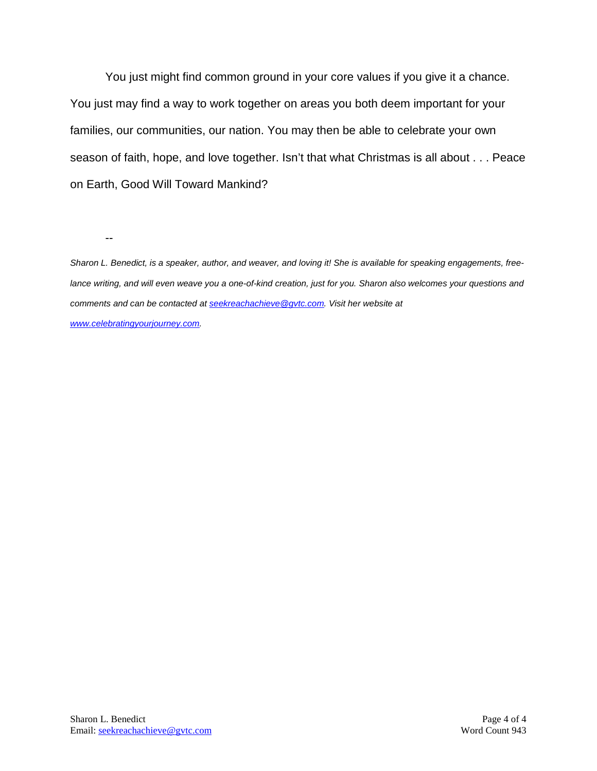You just might find common ground in your core values if you give it a chance. You just may find a way to work together on areas you both deem important for your families, our communities, our nation. You may then be able to celebrate your own season of faith, hope, and love together. Isn't that what Christmas is all about . . . Peace on Earth, Good Will Toward Mankind?

--

*Sharon L. Benedict, is a speaker, author, and weaver, and loving it! She is available for speaking engagements, freelance writing, and will even weave you a one-of-kind creation, just for you. Sharon also welcomes your questions and comments and can be contacted a[t seekreachachieve@gvtc.com.](mailto:seekreachachieve@gvtc.com) Visit her website at [www.celebratingyourjourney.com.](http://www.celebratingyourjourney.com/)*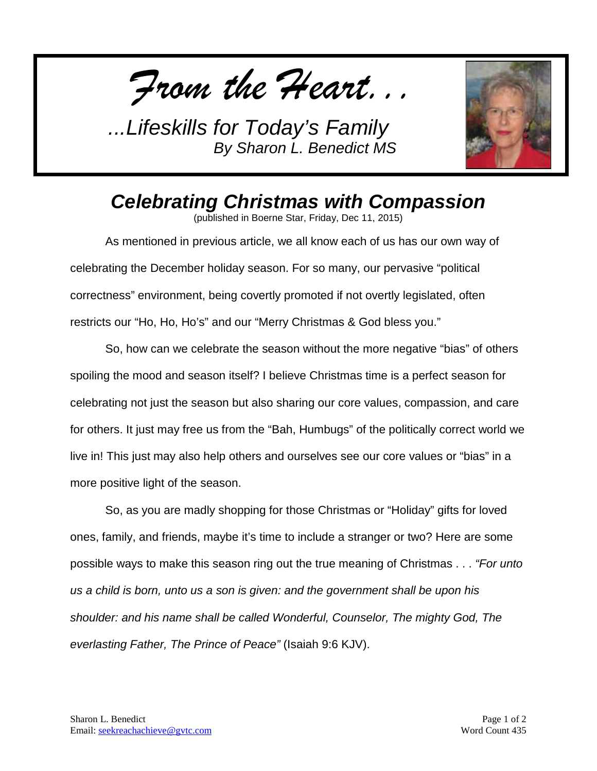*From the Heart...*



*Celebrating Christmas with Compassion*

(published in Boerne Star, Friday, Dec 11, 2015)

As mentioned in previous article, we all know each of us has our own way of celebrating the December holiday season. For so many, our pervasive "political correctness" environment, being covertly promoted if not overtly legislated, often restricts our "Ho, Ho, Ho's" and our "Merry Christmas & God bless you."

So, how can we celebrate the season without the more negative "bias" of others spoiling the mood and season itself? I believe Christmas time is a perfect season for celebrating not just the season but also sharing our core values, compassion, and care for others. It just may free us from the "Bah, Humbugs" of the politically correct world we live in! This just may also help others and ourselves see our core values or "bias" in a more positive light of the season.

So, as you are madly shopping for those Christmas or "Holiday" gifts for loved ones, family, and friends, maybe it's time to include a stranger or two? Here are some possible ways to make this season ring out the true meaning of Christmas . . . *"For unto us a child is born, unto us a son is given: and the government shall be upon his shoulder: and his name shall be called Wonderful, Counselor, The mighty God, The everlasting Father, The Prince of Peace"* (Isaiah 9:6 KJV).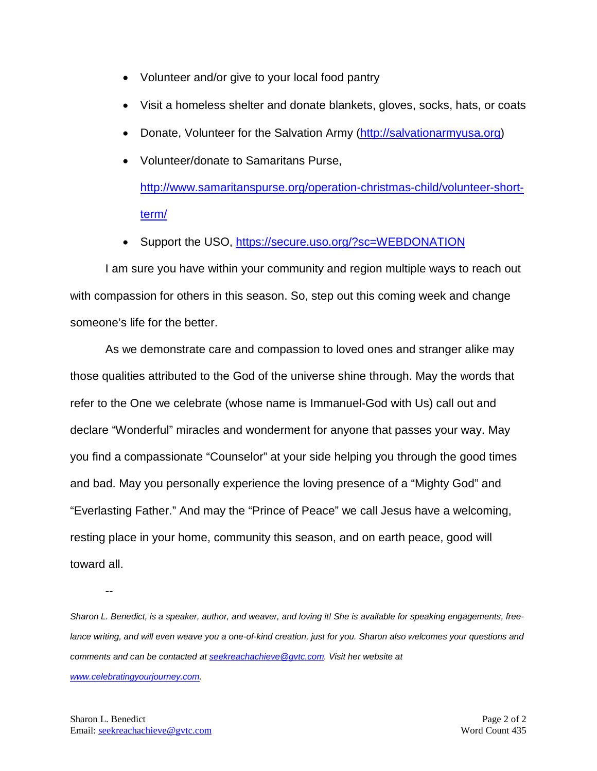- Volunteer and/or give to your local food pantry
- Visit a homeless shelter and donate blankets, gloves, socks, hats, or coats
- Donate, Volunteer for the Salvation Army [\(http://salvationarmyusa.org\)](http://salvationarmyusa.org/)
- Volunteer/donate to Samaritans Purse,

[http://www.samaritanspurse.org/operation-christmas-child/volunteer-short](http://www.samaritanspurse.org/operation-christmas-child/volunteer-short-term/)[term/](http://www.samaritanspurse.org/operation-christmas-child/volunteer-short-term/)

• Support the USO,<https://secure.uso.org/?sc=WEBDONATION>

I am sure you have within your community and region multiple ways to reach out with compassion for others in this season. So, step out this coming week and change someone's life for the better.

As we demonstrate care and compassion to loved ones and stranger alike may those qualities attributed to the God of the universe shine through. May the words that refer to the One we celebrate (whose name is Immanuel-God with Us) call out and declare "Wonderful" miracles and wonderment for anyone that passes your way. May you find a compassionate "Counselor" at your side helping you through the good times and bad. May you personally experience the loving presence of a "Mighty God" and "Everlasting Father." And may the "Prince of Peace" we call Jesus have a welcoming, resting place in your home, community this season, and on earth peace, good will toward all.

*Sharon L. Benedict, is a speaker, author, and weaver, and loving it! She is available for speaking engagements, free*lance writing, and will even weave you a one-of-kind creation, just for you. Sharon also welcomes your questions and *comments and can be contacted a[t seekreachachieve@gvtc.com.](mailto:seekreachachieve@gvtc.com) Visit her website at [www.celebratingyourjourney.com.](http://www.celebratingyourjourney.com/)*

--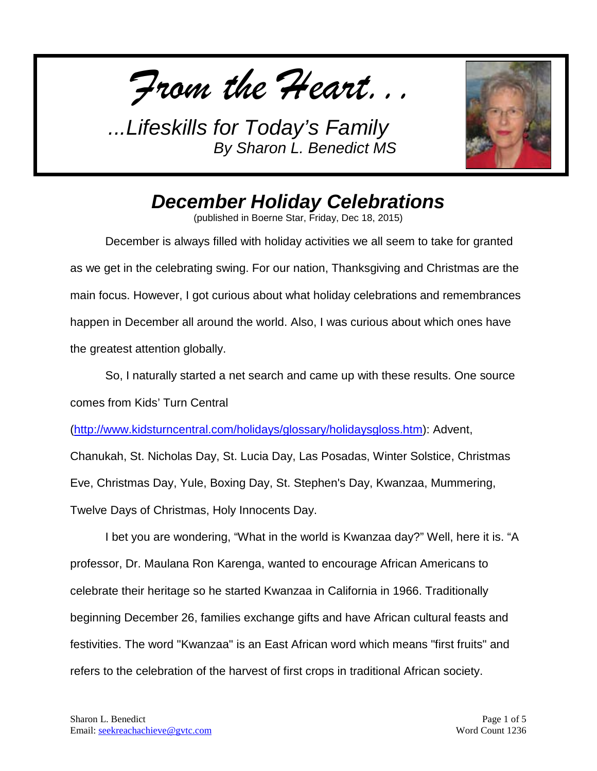*From the Heart...*



## *December Holiday Celebrations*

(published in Boerne Star, Friday, Dec 18, 2015)

December is always filled with holiday activities we all seem to take for granted as we get in the celebrating swing. For our nation, Thanksgiving and Christmas are the main focus. However, I got curious about what holiday celebrations and remembrances happen in December all around the world. Also, I was curious about which ones have the greatest attention globally.

So, I naturally started a net search and came up with these results. One source comes from Kids' Turn Central

[\(http://www.kidsturncentral.com/holidays/glossary/holidaysgloss.htm\)](http://www.kidsturncentral.com/holidays/glossary/holidaysgloss.htm): Advent,

Chanukah, St. Nicholas Day, St. Lucia Day, Las Posadas, Winter Solstice, Christmas Eve, Christmas Day, Yule, Boxing Day, St. Stephen's Day, Kwanzaa, Mummering,

Twelve Days of Christmas, Holy Innocents Day.

I bet you are wondering, "What in the world is Kwanzaa day?" Well, here it is. "A professor, Dr. Maulana Ron Karenga, wanted to encourage African Americans to celebrate their heritage so he started Kwanzaa in California in 1966. Traditionally beginning December 26, families exchange gifts and have African cultural feasts and festivities. The word "Kwanzaa" is an East African word which means "first fruits" and refers to the celebration of the harvest of first crops in traditional African society.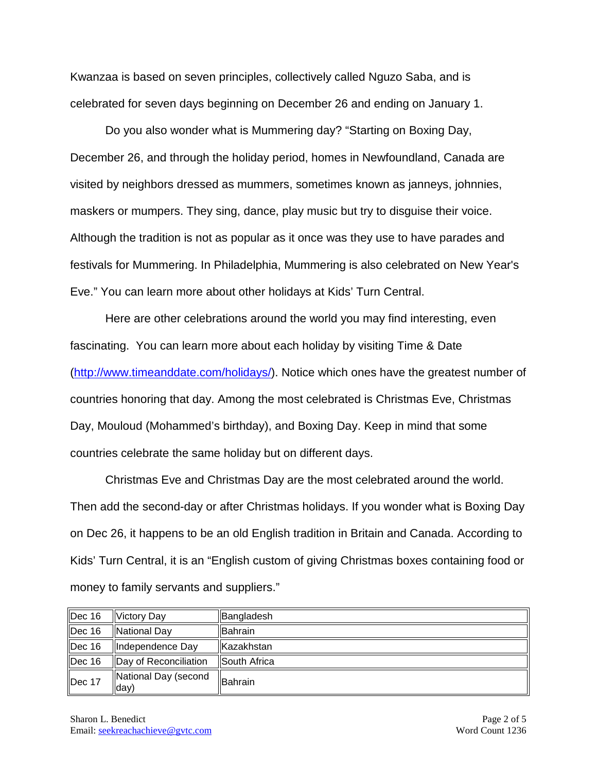Kwanzaa is based on seven principles, collectively called Nguzo Saba, and is celebrated for seven days beginning on December 26 and ending on January 1.

Do you also wonder what is Mummering day? "Starting on Boxing Day, December 26, and through the holiday period, homes in Newfoundland, Canada are visited by neighbors dressed as mummers, sometimes known as janneys, johnnies, maskers or mumpers. They sing, dance, play music but try to disguise their voice. Although the tradition is not as popular as it once was they use to have parades and festivals for Mummering. In Philadelphia, Mummering is also celebrated on New Year's Eve." You can learn more about other holidays at Kids' Turn Central.

Here are other celebrations around the world you may find interesting, even fascinating. You can learn more about each holiday by visiting Time & Date [\(http://www.timeanddate.com/holidays/\)](http://www.timeanddate.com/holidays/). Notice which ones have the greatest number of countries honoring that day. Among the most celebrated is Christmas Eve, Christmas Day, Mouloud (Mohammed's birthday), and Boxing Day. Keep in mind that some countries celebrate the same holiday but on different days.

Christmas Eve and Christmas Day are the most celebrated around the world. Then add the second-day or after Christmas holidays. If you wonder what is Boxing Day on Dec 26, it happens to be an old English tradition in Britain and Canada. According to Kids' Turn Central, it is an "English custom of giving Christmas boxes containing food or money to family servants and suppliers."

| Dec 16             | Victory Day                   | Bangladesh   |
|--------------------|-------------------------------|--------------|
| $\parallel$ Dec 16 | National Day                  | llBahrain    |
| Dec 16             | Independence Day              | Kazakhstan   |
| Dec 16             | Day of Reconciliation         | South Africa |
| $\parallel$ Dec 17 | National Day (second<br>ldav) | Bahrain      |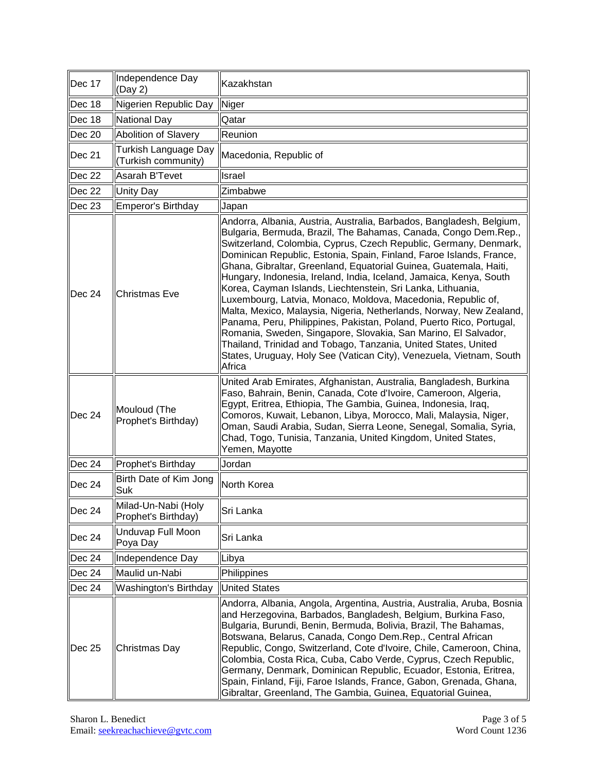| Dec 17 | Independence Day<br>(Day 2)                        | Kazakhstan                                                                                                                                                                                                                                                                                                                                                                                                                                                                                                                                                                                                                                                                                                                                                                                                                                                                                                                      |
|--------|----------------------------------------------------|---------------------------------------------------------------------------------------------------------------------------------------------------------------------------------------------------------------------------------------------------------------------------------------------------------------------------------------------------------------------------------------------------------------------------------------------------------------------------------------------------------------------------------------------------------------------------------------------------------------------------------------------------------------------------------------------------------------------------------------------------------------------------------------------------------------------------------------------------------------------------------------------------------------------------------|
| Dec 18 | Nigerien Republic Day                              | Niger                                                                                                                                                                                                                                                                                                                                                                                                                                                                                                                                                                                                                                                                                                                                                                                                                                                                                                                           |
| Dec 18 | National Day                                       | Qatar                                                                                                                                                                                                                                                                                                                                                                                                                                                                                                                                                                                                                                                                                                                                                                                                                                                                                                                           |
| Dec 20 | <b>Abolition of Slavery</b>                        | Reunion                                                                                                                                                                                                                                                                                                                                                                                                                                                                                                                                                                                                                                                                                                                                                                                                                                                                                                                         |
| Dec 21 | <b>Turkish Language Day</b><br>(Turkish community) | Macedonia, Republic of                                                                                                                                                                                                                                                                                                                                                                                                                                                                                                                                                                                                                                                                                                                                                                                                                                                                                                          |
| Dec 22 | Asarah B'Tevet                                     | Israel                                                                                                                                                                                                                                                                                                                                                                                                                                                                                                                                                                                                                                                                                                                                                                                                                                                                                                                          |
| Dec 22 | <b>Unity Day</b>                                   | Zimbabwe                                                                                                                                                                                                                                                                                                                                                                                                                                                                                                                                                                                                                                                                                                                                                                                                                                                                                                                        |
| Dec 23 | <b>Emperor's Birthday</b>                          | Japan                                                                                                                                                                                                                                                                                                                                                                                                                                                                                                                                                                                                                                                                                                                                                                                                                                                                                                                           |
| Dec 24 | <b>Christmas Eve</b>                               | Andorra, Albania, Austria, Australia, Barbados, Bangladesh, Belgium,<br>Bulgaria, Bermuda, Brazil, The Bahamas, Canada, Congo Dem.Rep.,<br>Switzerland, Colombia, Cyprus, Czech Republic, Germany, Denmark,<br>Dominican Republic, Estonia, Spain, Finland, Faroe Islands, France,<br>Ghana, Gibraltar, Greenland, Equatorial Guinea, Guatemala, Haiti,<br>Hungary, Indonesia, Ireland, India, Iceland, Jamaica, Kenya, South<br>Korea, Cayman Islands, Liechtenstein, Sri Lanka, Lithuania,<br>Luxembourg, Latvia, Monaco, Moldova, Macedonia, Republic of,<br>Malta, Mexico, Malaysia, Nigeria, Netherlands, Norway, New Zealand,<br>Panama, Peru, Philippines, Pakistan, Poland, Puerto Rico, Portugal,<br>Romania, Sweden, Singapore, Slovakia, San Marino, El Salvador,<br>Thailand, Trinidad and Tobago, Tanzania, United States, United<br>States, Uruguay, Holy See (Vatican City), Venezuela, Vietnam, South<br>Africa |
| Dec 24 | Mouloud (The<br>Prophet's Birthday)                | United Arab Emirates, Afghanistan, Australia, Bangladesh, Burkina<br>Faso, Bahrain, Benin, Canada, Cote d'Ivoire, Cameroon, Algeria,<br>Egypt, Eritrea, Ethiopia, The Gambia, Guinea, Indonesia, Iraq,<br>Comoros, Kuwait, Lebanon, Libya, Morocco, Mali, Malaysia, Niger,<br>Oman, Saudi Arabia, Sudan, Sierra Leone, Senegal, Somalia, Syria,<br>Chad, Togo, Tunisia, Tanzania, United Kingdom, United States,<br>Yemen, Mayotte                                                                                                                                                                                                                                                                                                                                                                                                                                                                                              |
| Dec 24 | Prophet's Birthday                                 | Jordan                                                                                                                                                                                                                                                                                                                                                                                                                                                                                                                                                                                                                                                                                                                                                                                                                                                                                                                          |
| Dec 24 | Birth Date of Kim Jong<br>Suk                      | North Korea                                                                                                                                                                                                                                                                                                                                                                                                                                                                                                                                                                                                                                                                                                                                                                                                                                                                                                                     |
| Dec 24 | Milad-Un-Nabi (Holy<br>Prophet's Birthday)         | Sri Lanka                                                                                                                                                                                                                                                                                                                                                                                                                                                                                                                                                                                                                                                                                                                                                                                                                                                                                                                       |
| Dec 24 | <b>Unduvap Full Moon</b><br>Poya Day               | Sri Lanka                                                                                                                                                                                                                                                                                                                                                                                                                                                                                                                                                                                                                                                                                                                                                                                                                                                                                                                       |
| Dec 24 | Independence Day                                   | Libya                                                                                                                                                                                                                                                                                                                                                                                                                                                                                                                                                                                                                                                                                                                                                                                                                                                                                                                           |
| Dec 24 | Maulid un-Nabi                                     | Philippines                                                                                                                                                                                                                                                                                                                                                                                                                                                                                                                                                                                                                                                                                                                                                                                                                                                                                                                     |
| Dec 24 | Washington's Birthday                              | <b>United States</b>                                                                                                                                                                                                                                                                                                                                                                                                                                                                                                                                                                                                                                                                                                                                                                                                                                                                                                            |
| Dec 25 | Christmas Day                                      | Andorra, Albania, Angola, Argentina, Austria, Australia, Aruba, Bosnia<br>and Herzegovina, Barbados, Bangladesh, Belgium, Burkina Faso,<br>Bulgaria, Burundi, Benin, Bermuda, Bolivia, Brazil, The Bahamas,<br>Botswana, Belarus, Canada, Congo Dem.Rep., Central African<br>Republic, Congo, Switzerland, Cote d'Ivoire, Chile, Cameroon, China,<br>Colombia, Costa Rica, Cuba, Cabo Verde, Cyprus, Czech Republic,<br>Germany, Denmark, Dominican Republic, Ecuador, Estonia, Eritrea,<br>Spain, Finland, Fiji, Faroe Islands, France, Gabon, Grenada, Ghana,<br>Gibraltar, Greenland, The Gambia, Guinea, Equatorial Guinea,                                                                                                                                                                                                                                                                                                 |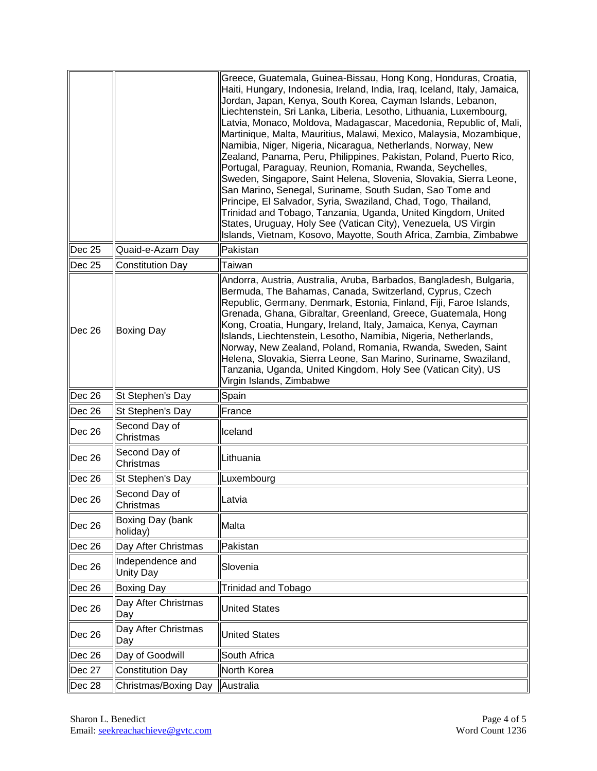|                |                               | Greece, Guatemala, Guinea-Bissau, Hong Kong, Honduras, Croatia,<br>Haiti, Hungary, Indonesia, Ireland, India, Iraq, Iceland, Italy, Jamaica,<br>Jordan, Japan, Kenya, South Korea, Cayman Islands, Lebanon,<br>Liechtenstein, Sri Lanka, Liberia, Lesotho, Lithuania, Luxembourg,<br>Latvia, Monaco, Moldova, Madagascar, Macedonia, Republic of, Mali,<br>Martinique, Malta, Mauritius, Malawi, Mexico, Malaysia, Mozambique,<br>Namibia, Niger, Nigeria, Nicaragua, Netherlands, Norway, New<br>Zealand, Panama, Peru, Philippines, Pakistan, Poland, Puerto Rico,<br>Portugal, Paraguay, Reunion, Romania, Rwanda, Seychelles,<br>Sweden, Singapore, Saint Helena, Slovenia, Slovakia, Sierra Leone,<br>San Marino, Senegal, Suriname, South Sudan, Sao Tome and<br>Principe, El Salvador, Syria, Swaziland, Chad, Togo, Thailand,<br>Trinidad and Tobago, Tanzania, Uganda, United Kingdom, United<br>States, Uruguay, Holy See (Vatican City), Venezuela, US Virgin<br>Islands, Vietnam, Kosovo, Mayotte, South Africa, Zambia, Zimbabwe |
|----------------|-------------------------------|-----------------------------------------------------------------------------------------------------------------------------------------------------------------------------------------------------------------------------------------------------------------------------------------------------------------------------------------------------------------------------------------------------------------------------------------------------------------------------------------------------------------------------------------------------------------------------------------------------------------------------------------------------------------------------------------------------------------------------------------------------------------------------------------------------------------------------------------------------------------------------------------------------------------------------------------------------------------------------------------------------------------------------------------------|
| Dec 25         | Quaid-e-Azam Day              | Pakistan                                                                                                                                                                                                                                                                                                                                                                                                                                                                                                                                                                                                                                                                                                                                                                                                                                                                                                                                                                                                                                      |
| <b>Dec 25</b>  | <b>Constitution Day</b>       | Taiwan                                                                                                                                                                                                                                                                                                                                                                                                                                                                                                                                                                                                                                                                                                                                                                                                                                                                                                                                                                                                                                        |
| $\vert$ Dec 26 | Boxing Day                    | Andorra, Austria, Australia, Aruba, Barbados, Bangladesh, Bulgaria,<br>Bermuda, The Bahamas, Canada, Switzerland, Cyprus, Czech<br>Republic, Germany, Denmark, Estonia, Finland, Fiji, Faroe Islands,<br>Grenada, Ghana, Gibraltar, Greenland, Greece, Guatemala, Hong<br>Kong, Croatia, Hungary, Ireland, Italy, Jamaica, Kenya, Cayman<br>Islands, Liechtenstein, Lesotho, Namibia, Nigeria, Netherlands,<br>Norway, New Zealand, Poland, Romania, Rwanda, Sweden, Saint<br>Helena, Slovakia, Sierra Leone, San Marino, Suriname, Swaziland,<br>Tanzania, Uganda, United Kingdom, Holy See (Vatican City), US<br>Virgin Islands, Zimbabwe                                                                                                                                                                                                                                                                                                                                                                                                   |
| Dec 26         | St Stephen's Day              | Spain                                                                                                                                                                                                                                                                                                                                                                                                                                                                                                                                                                                                                                                                                                                                                                                                                                                                                                                                                                                                                                         |
| Dec 26         | St Stephen's Day              | France                                                                                                                                                                                                                                                                                                                                                                                                                                                                                                                                                                                                                                                                                                                                                                                                                                                                                                                                                                                                                                        |
| Dec 26         | Second Day of<br>Christmas    | Iceland                                                                                                                                                                                                                                                                                                                                                                                                                                                                                                                                                                                                                                                                                                                                                                                                                                                                                                                                                                                                                                       |
| Dec 26         | Second Day of<br>Christmas    | Lithuania                                                                                                                                                                                                                                                                                                                                                                                                                                                                                                                                                                                                                                                                                                                                                                                                                                                                                                                                                                                                                                     |
| Dec 26         | St Stephen's Day              | Luxembourg                                                                                                                                                                                                                                                                                                                                                                                                                                                                                                                                                                                                                                                                                                                                                                                                                                                                                                                                                                                                                                    |
| $\vert$ Dec 26 | Second Day of<br>lChristmas   | Latvia                                                                                                                                                                                                                                                                                                                                                                                                                                                                                                                                                                                                                                                                                                                                                                                                                                                                                                                                                                                                                                        |
| Dec 26         | Boxing Day (bank<br>holiday)  | Malta                                                                                                                                                                                                                                                                                                                                                                                                                                                                                                                                                                                                                                                                                                                                                                                                                                                                                                                                                                                                                                         |
| Dec 26         | Day After Christmas           | Pakistan                                                                                                                                                                                                                                                                                                                                                                                                                                                                                                                                                                                                                                                                                                                                                                                                                                                                                                                                                                                                                                      |
| Dec 26         | Independence and<br>Unity Day | Slovenia                                                                                                                                                                                                                                                                                                                                                                                                                                                                                                                                                                                                                                                                                                                                                                                                                                                                                                                                                                                                                                      |
| $\vert$ Dec 26 | <b>Boxing Day</b>             | Trinidad and Tobago                                                                                                                                                                                                                                                                                                                                                                                                                                                                                                                                                                                                                                                                                                                                                                                                                                                                                                                                                                                                                           |
| Dec 26         | Day After Christmas<br>Day    | <b>United States</b>                                                                                                                                                                                                                                                                                                                                                                                                                                                                                                                                                                                                                                                                                                                                                                                                                                                                                                                                                                                                                          |
| Dec 26         | Day After Christmas<br>Day    | <b>United States</b>                                                                                                                                                                                                                                                                                                                                                                                                                                                                                                                                                                                                                                                                                                                                                                                                                                                                                                                                                                                                                          |
| Dec 26         | Day of Goodwill               | South Africa                                                                                                                                                                                                                                                                                                                                                                                                                                                                                                                                                                                                                                                                                                                                                                                                                                                                                                                                                                                                                                  |
| Dec 27         | <b>Constitution Day</b>       | North Korea                                                                                                                                                                                                                                                                                                                                                                                                                                                                                                                                                                                                                                                                                                                                                                                                                                                                                                                                                                                                                                   |
| Dec 28         | Christmas/Boxing Day          | Australia                                                                                                                                                                                                                                                                                                                                                                                                                                                                                                                                                                                                                                                                                                                                                                                                                                                                                                                                                                                                                                     |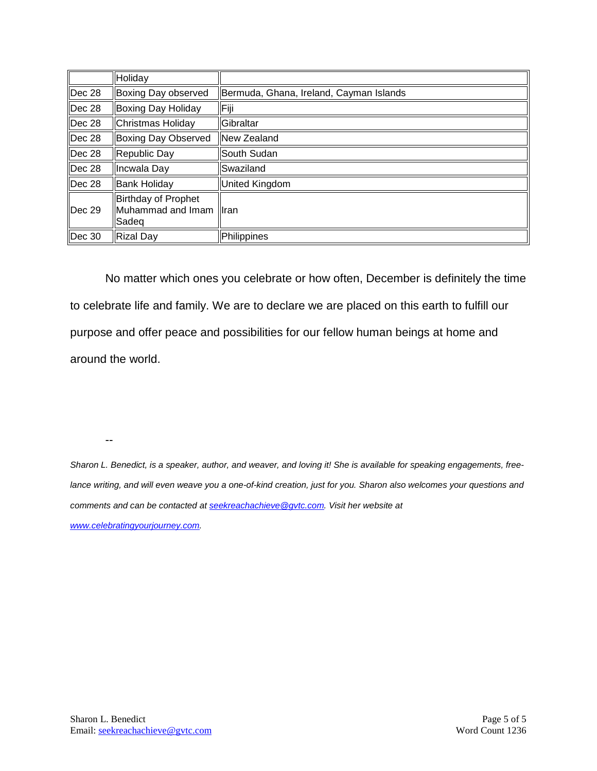|               | Holiday                                           |                                         |
|---------------|---------------------------------------------------|-----------------------------------------|
| Dec 28        | Boxing Day observed                               | Bermuda, Ghana, Ireland, Cayman Islands |
| Dec 28        | Boxing Day Holiday                                | Fiji                                    |
| Dec 28        | Christmas Holiday                                 | Gibraltar                               |
| Dec 28        | Boxing Day Observed                               | llNew Zealand                           |
| Dec 28        | Republic Day                                      | South Sudan                             |
| Dec 28        | Incwala Day                                       | lSwaziland                              |
| Dec 28        | <b>Bank Holiday</b>                               | <b>United Kingdom</b>                   |
| <b>Dec 29</b> | Birthday of Prophet<br>Muhammad and Imam<br>Sadeg | <b>I</b> ran                            |
| Dec 30        | <b>Rizal Day</b>                                  | Philippines                             |

No matter which ones you celebrate or how often, December is definitely the time to celebrate life and family. We are to declare we are placed on this earth to fulfill our purpose and offer peace and possibilities for our fellow human beings at home and around the world.

--

*Sharon L. Benedict, is a speaker, author, and weaver, and loving it! She is available for speaking engagements, free*lance writing, and will even weave you a one-of-kind creation, just for you. Sharon also welcomes your questions and *comments and can be contacted a[t seekreachachieve@gvtc.com.](mailto:seekreachachieve@gvtc.com) Visit her website at [www.celebratingyourjourney.com.](http://www.celebratingyourjourney.com/)*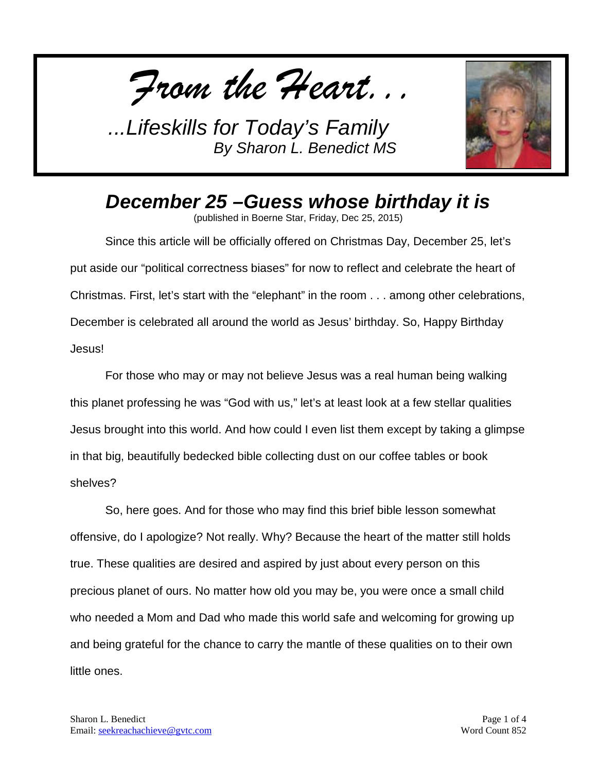*From the Heart...*



## *December 25 –Guess whose birthday it is*

(published in Boerne Star, Friday, Dec 25, 2015)

Since this article will be officially offered on Christmas Day, December 25, let's put aside our "political correctness biases" for now to reflect and celebrate the heart of Christmas. First, let's start with the "elephant" in the room . . . among other celebrations, December is celebrated all around the world as Jesus' birthday. So, Happy Birthday Jesus!

For those who may or may not believe Jesus was a real human being walking this planet professing he was "God with us," let's at least look at a few stellar qualities Jesus brought into this world. And how could I even list them except by taking a glimpse in that big, beautifully bedecked bible collecting dust on our coffee tables or book shelves?

So, here goes. And for those who may find this brief bible lesson somewhat offensive, do I apologize? Not really. Why? Because the heart of the matter still holds true. These qualities are desired and aspired by just about every person on this precious planet of ours. No matter how old you may be, you were once a small child who needed a Mom and Dad who made this world safe and welcoming for growing up and being grateful for the chance to carry the mantle of these qualities on to their own little ones.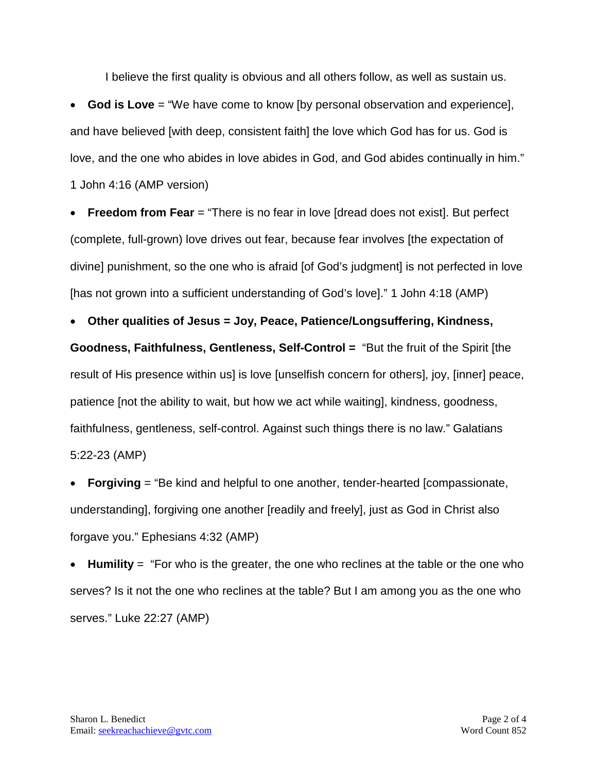I believe the first quality is obvious and all others follow, as well as sustain us.

• **God is Love** = "We have come to know [by personal observation and experience], and have believed [with deep, consistent faith] the love which God has for us. God is love, and the one who abides in love abides in God, and God abides continually in him." 1 John 4:16 (AMP version)

**Freedom from Fear** = "There is no fear in love [dread does not exist]. But perfect (complete, full-grown) love drives out fear, because fear involves [the expectation of divine] punishment, so the one who is afraid [of God's judgment] is not perfected in love [has not grown into a sufficient understanding of God's love]." 1 John 4:18 (AMP)

• **Other qualities of Jesus = Joy, Peace, Patience/Longsuffering, Kindness,** 

**Goodness, Faithfulness, Gentleness, Self-Control =** "But the fruit of the Spirit [the result of His presence within us] is love [unselfish concern for others], joy, [inner] peace, patience [not the ability to wait, but how we act while waiting], kindness, goodness, faithfulness, gentleness, self-control. Against such things there is no law." Galatians 5:22-23 (AMP)

**• Forgiving** = "Be kind and helpful to one another, tender-hearted [compassionate, understanding], forgiving one another [readily and freely], just as God in Christ also forgave you." Ephesians 4:32 (AMP)

• **Humility** = "For who is the greater, the one who reclines at the table or the one who serves? Is it not the one who reclines at the table? But I am among you as the one who serves." Luke 22:27 (AMP)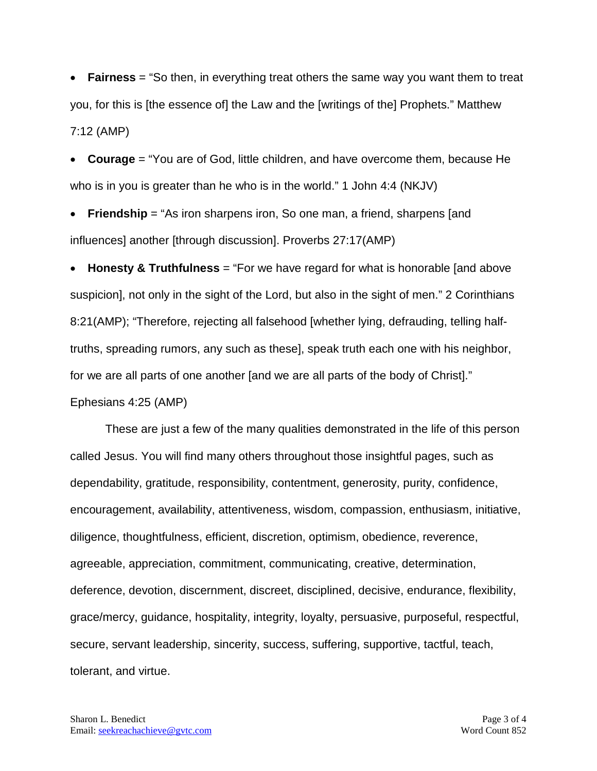• **Fairness** = "So then, in everything treat others the same way you want them to treat you, for this is [the essence of] the Law and the [writings of the] Prophets." Matthew 7:12 (AMP)

**Courage** = "You are of God, little children, and have overcome them, because He who is in you is greater than he who is in the world." 1 John 4:4 (NKJV)

• **Friendship** = "As iron sharpens iron, So one man, a friend, sharpens [and influences] another [through discussion]. Proverbs 27:17(AMP)

• **Honesty & Truthfulness** = "For we have regard for what is honorable [and above suspicion], not only in the sight of the Lord, but also in the sight of men." 2 Corinthians 8:21(AMP); "Therefore, rejecting all falsehood [whether lying, defrauding, telling halftruths, spreading rumors, any such as these], speak truth each one with his neighbor, for we are all parts of one another [and we are all parts of the body of Christ]." Ephesians 4:25 (AMP)

These are just a few of the many qualities demonstrated in the life of this person called Jesus. You will find many others throughout those insightful pages, such as dependability, gratitude, responsibility, contentment, generosity, purity, confidence, encouragement, availability, attentiveness, wisdom, compassion, enthusiasm, initiative, diligence, thoughtfulness, efficient, discretion, optimism, obedience, reverence, agreeable, appreciation, commitment, communicating, creative, determination, deference, devotion, discernment, discreet, disciplined, decisive, endurance, flexibility, grace/mercy, guidance, hospitality, integrity, loyalty, persuasive, purposeful, respectful, secure, servant leadership, sincerity, success, suffering, supportive, tactful, teach, tolerant, and virtue.